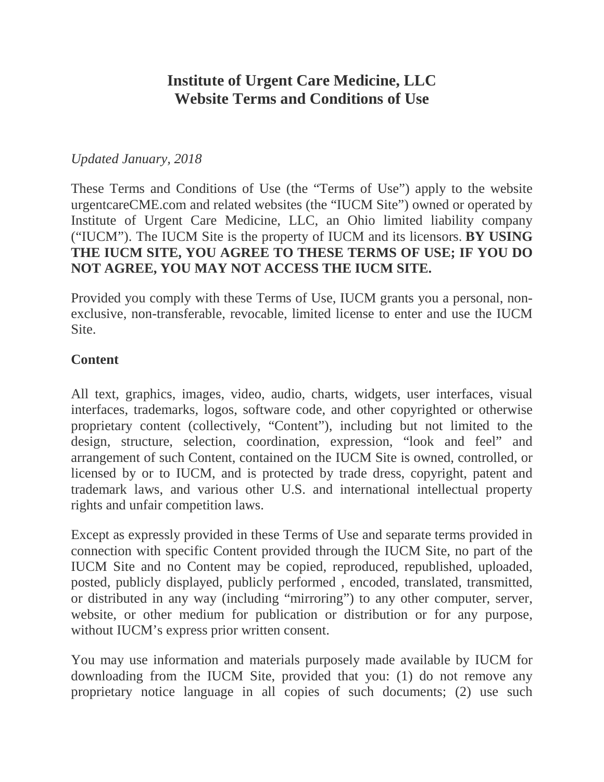# **Institute of Urgent Care Medicine, LLC Website Terms and Conditions of Use**

#### *Updated January, 2018*

These Terms and Conditions of Use (the "Terms of Use") apply to the website urgentcareCME.com and related websites (the "IUCM Site") owned or operated by Institute of Urgent Care Medicine, LLC, an Ohio limited liability company ("IUCM"). The IUCM Site is the property of IUCM and its licensors. **BY USING THE IUCM SITE, YOU AGREE TO THESE TERMS OF USE; IF YOU DO NOT AGREE, YOU MAY NOT ACCESS THE IUCM SITE.**

Provided you comply with these Terms of Use, IUCM grants you a personal, nonexclusive, non-transferable, revocable, limited license to enter and use the IUCM Site.

#### **Content**

All text, graphics, images, video, audio, charts, widgets, user interfaces, visual interfaces, trademarks, logos, software code, and other copyrighted or otherwise proprietary content (collectively, "Content"), including but not limited to the design, structure, selection, coordination, expression, "look and feel" and arrangement of such Content, contained on the IUCM Site is owned, controlled, or licensed by or to IUCM, and is protected by trade dress, copyright, patent and trademark laws, and various other U.S. and international intellectual property rights and unfair competition laws.

Except as expressly provided in these Terms of Use and separate terms provided in connection with specific Content provided through the IUCM Site, no part of the IUCM Site and no Content may be copied, reproduced, republished, uploaded, posted, publicly displayed, publicly performed , encoded, translated, transmitted, or distributed in any way (including "mirroring") to any other computer, server, website, or other medium for publication or distribution or for any purpose, without IUCM's express prior written consent.

You may use information and materials purposely made available by IUCM for downloading from the IUCM Site, provided that you: (1) do not remove any proprietary notice language in all copies of such documents; (2) use such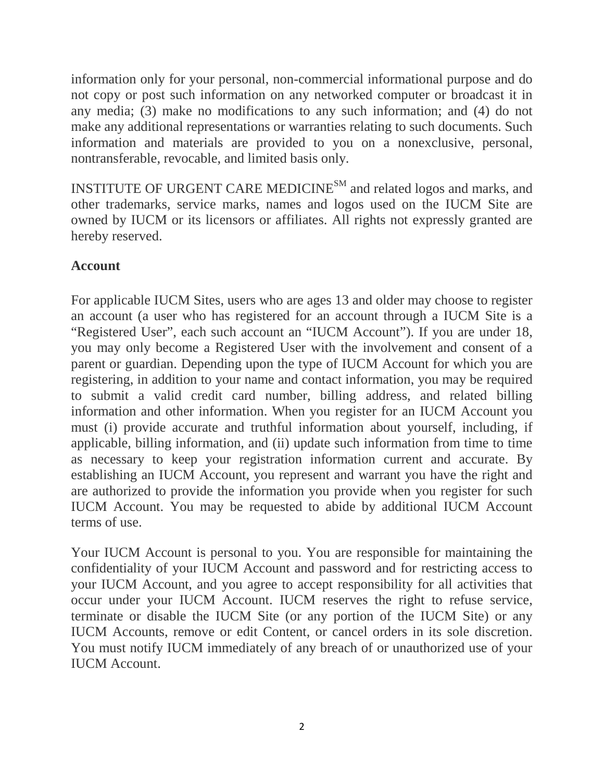information only for your personal, non-commercial informational purpose and do not copy or post such information on any networked computer or broadcast it in any media; (3) make no modifications to any such information; and (4) do not make any additional representations or warranties relating to such documents. Such information and materials are provided to you on a nonexclusive, personal, nontransferable, revocable, and limited basis only.

INSTITUTE OF URGENT CARE MEDICINESM and related logos and marks, and other trademarks, service marks, names and logos used on the IUCM Site are owned by IUCM or its licensors or affiliates. All rights not expressly granted are hereby reserved.

# **Account**

For applicable IUCM Sites, users who are ages 13 and older may choose to register an account (a user who has registered for an account through a IUCM Site is a "Registered User", each such account an "IUCM Account"). If you are under 18, you may only become a Registered User with the involvement and consent of a parent or guardian. Depending upon the type of IUCM Account for which you are registering, in addition to your name and contact information, you may be required to submit a valid credit card number, billing address, and related billing information and other information. When you register for an IUCM Account you must (i) provide accurate and truthful information about yourself, including, if applicable, billing information, and (ii) update such information from time to time as necessary to keep your registration information current and accurate. By establishing an IUCM Account, you represent and warrant you have the right and are authorized to provide the information you provide when you register for such IUCM Account. You may be requested to abide by additional IUCM Account terms of use.

Your IUCM Account is personal to you. You are responsible for maintaining the confidentiality of your IUCM Account and password and for restricting access to your IUCM Account, and you agree to accept responsibility for all activities that occur under your IUCM Account. IUCM reserves the right to refuse service, terminate or disable the IUCM Site (or any portion of the IUCM Site) or any IUCM Accounts, remove or edit Content, or cancel orders in its sole discretion. You must notify IUCM immediately of any breach of or unauthorized use of your IUCM Account.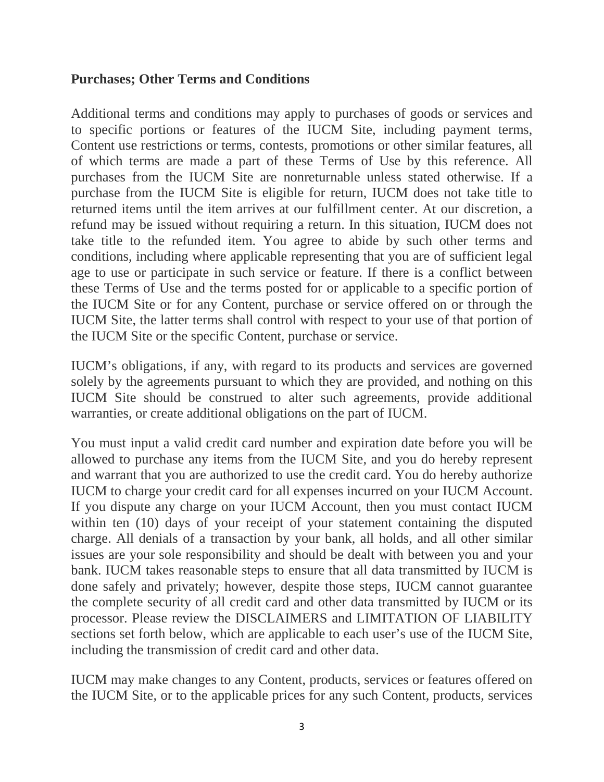#### **Purchases; Other Terms and Conditions**

Additional terms and conditions may apply to purchases of goods or services and to specific portions or features of the IUCM Site, including payment terms, Content use restrictions or terms, contests, promotions or other similar features, all of which terms are made a part of these Terms of Use by this reference. All purchases from the IUCM Site are nonreturnable unless stated otherwise. If a purchase from the IUCM Site is eligible for return, IUCM does not take title to returned items until the item arrives at our fulfillment center. At our discretion, a refund may be issued without requiring a return. In this situation, IUCM does not take title to the refunded item. You agree to abide by such other terms and conditions, including where applicable representing that you are of sufficient legal age to use or participate in such service or feature. If there is a conflict between these Terms of Use and the terms posted for or applicable to a specific portion of the IUCM Site or for any Content, purchase or service offered on or through the IUCM Site, the latter terms shall control with respect to your use of that portion of the IUCM Site or the specific Content, purchase or service.

IUCM's obligations, if any, with regard to its products and services are governed solely by the agreements pursuant to which they are provided, and nothing on this IUCM Site should be construed to alter such agreements, provide additional warranties, or create additional obligations on the part of IUCM.

You must input a valid credit card number and expiration date before you will be allowed to purchase any items from the IUCM Site, and you do hereby represent and warrant that you are authorized to use the credit card. You do hereby authorize IUCM to charge your credit card for all expenses incurred on your IUCM Account. If you dispute any charge on your IUCM Account, then you must contact IUCM within ten (10) days of your receipt of your statement containing the disputed charge. All denials of a transaction by your bank, all holds, and all other similar issues are your sole responsibility and should be dealt with between you and your bank. IUCM takes reasonable steps to ensure that all data transmitted by IUCM is done safely and privately; however, despite those steps, IUCM cannot guarantee the complete security of all credit card and other data transmitted by IUCM or its processor. Please review the DISCLAIMERS and LIMITATION OF LIABILITY sections set forth below, which are applicable to each user's use of the IUCM Site, including the transmission of credit card and other data.

IUCM may make changes to any Content, products, services or features offered on the IUCM Site, or to the applicable prices for any such Content, products, services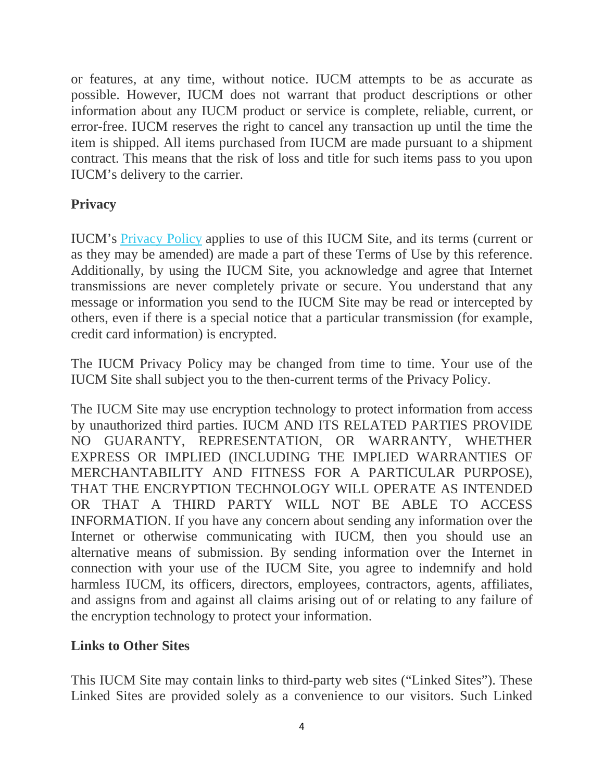or features, at any time, without notice. IUCM attempts to be as accurate as possible. However, IUCM does not warrant that product descriptions or other information about any IUCM product or service is complete, reliable, current, or error-free. IUCM reserves the right to cancel any transaction up until the time the item is shipped. All items purchased from IUCM are made pursuant to a shipment contract. This means that the risk of loss and title for such items pass to you upon IUCM's delivery to the carrier.

# **Privacy**

IUCM's [Privacy](http://www.davidccook.com/policy) Policy applies to use of this IUCM Site, and its terms (current or as they may be amended) are made a part of these Terms of Use by this reference. Additionally, by using the IUCM Site, you acknowledge and agree that Internet transmissions are never completely private or secure. You understand that any message or information you send to the IUCM Site may be read or intercepted by others, even if there is a special notice that a particular transmission (for example, credit card information) is encrypted.

The IUCM Privacy Policy may be changed from time to time. Your use of the IUCM Site shall subject you to the then-current terms of the Privacy Policy.

The IUCM Site may use encryption technology to protect information from access by unauthorized third parties. IUCM AND ITS RELATED PARTIES PROVIDE NO GUARANTY, REPRESENTATION, OR WARRANTY, WHETHER EXPRESS OR IMPLIED (INCLUDING THE IMPLIED WARRANTIES OF MERCHANTABILITY AND FITNESS FOR A PARTICULAR PURPOSE), THAT THE ENCRYPTION TECHNOLOGY WILL OPERATE AS INTENDED OR THAT A THIRD PARTY WILL NOT BE ABLE TO ACCESS INFORMATION. If you have any concern about sending any information over the Internet or otherwise communicating with IUCM, then you should use an alternative means of submission. By sending information over the Internet in connection with your use of the IUCM Site, you agree to indemnify and hold harmless IUCM, its officers, directors, employees, contractors, agents, affiliates, and assigns from and against all claims arising out of or relating to any failure of the encryption technology to protect your information.

# **Links to Other Sites**

This IUCM Site may contain links to third-party web sites ("Linked Sites"). These Linked Sites are provided solely as a convenience to our visitors. Such Linked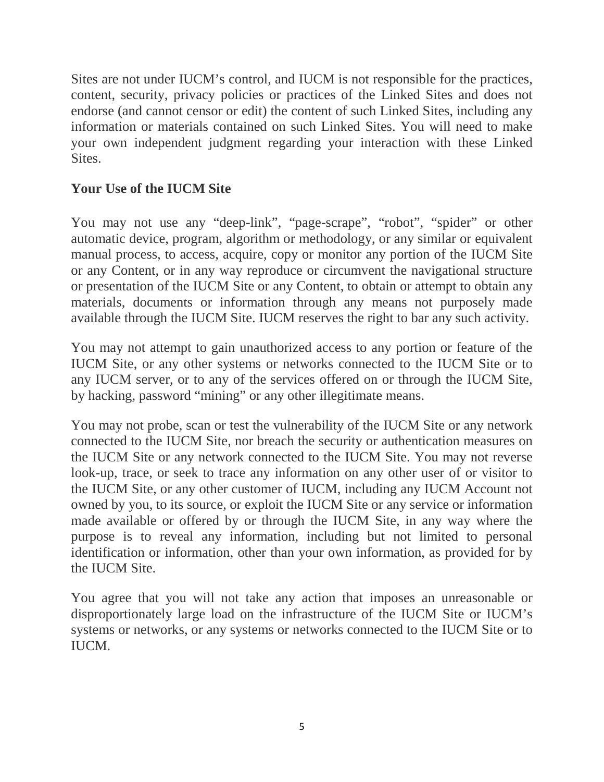Sites are not under IUCM's control, and IUCM is not responsible for the practices, content, security, privacy policies or practices of the Linked Sites and does not endorse (and cannot censor or edit) the content of such Linked Sites, including any information or materials contained on such Linked Sites. You will need to make your own independent judgment regarding your interaction with these Linked Sites.

# **Your Use of the IUCM Site**

You may not use any "deep-link", "page-scrape", "robot", "spider" or other automatic device, program, algorithm or methodology, or any similar or equivalent manual process, to access, acquire, copy or monitor any portion of the IUCM Site or any Content, or in any way reproduce or circumvent the navigational structure or presentation of the IUCM Site or any Content, to obtain or attempt to obtain any materials, documents or information through any means not purposely made available through the IUCM Site. IUCM reserves the right to bar any such activity.

You may not attempt to gain unauthorized access to any portion or feature of the IUCM Site, or any other systems or networks connected to the IUCM Site or to any IUCM server, or to any of the services offered on or through the IUCM Site, by hacking, password "mining" or any other illegitimate means.

You may not probe, scan or test the vulnerability of the IUCM Site or any network connected to the IUCM Site, nor breach the security or authentication measures on the IUCM Site or any network connected to the IUCM Site. You may not reverse look-up, trace, or seek to trace any information on any other user of or visitor to the IUCM Site, or any other customer of IUCM, including any IUCM Account not owned by you, to its source, or exploit the IUCM Site or any service or information made available or offered by or through the IUCM Site, in any way where the purpose is to reveal any information, including but not limited to personal identification or information, other than your own information, as provided for by the IUCM Site.

You agree that you will not take any action that imposes an unreasonable or disproportionately large load on the infrastructure of the IUCM Site or IUCM's systems or networks, or any systems or networks connected to the IUCM Site or to IUCM.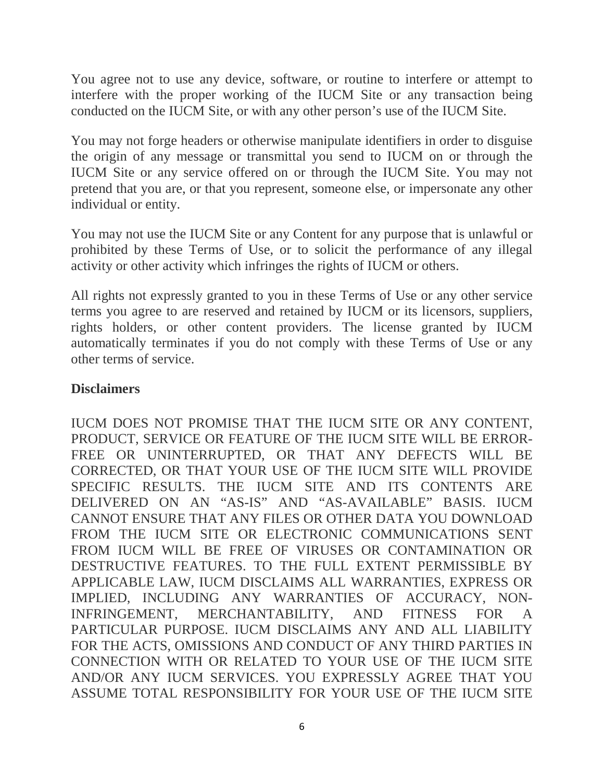You agree not to use any device, software, or routine to interfere or attempt to interfere with the proper working of the IUCM Site or any transaction being conducted on the IUCM Site, or with any other person's use of the IUCM Site.

You may not forge headers or otherwise manipulate identifiers in order to disguise the origin of any message or transmittal you send to IUCM on or through the IUCM Site or any service offered on or through the IUCM Site. You may not pretend that you are, or that you represent, someone else, or impersonate any other individual or entity.

You may not use the IUCM Site or any Content for any purpose that is unlawful or prohibited by these Terms of Use, or to solicit the performance of any illegal activity or other activity which infringes the rights of IUCM or others.

All rights not expressly granted to you in these Terms of Use or any other service terms you agree to are reserved and retained by IUCM or its licensors, suppliers, rights holders, or other content providers. The license granted by IUCM automatically terminates if you do not comply with these Terms of Use or any other terms of service.

#### **Disclaimers**

IUCM DOES NOT PROMISE THAT THE IUCM SITE OR ANY CONTENT, PRODUCT, SERVICE OR FEATURE OF THE IUCM SITE WILL BE ERROR-FREE OR UNINTERRUPTED, OR THAT ANY DEFECTS WILL BE CORRECTED, OR THAT YOUR USE OF THE IUCM SITE WILL PROVIDE SPECIFIC RESULTS. THE IUCM SITE AND ITS CONTENTS ARE DELIVERED ON AN "AS-IS" AND "AS-AVAILABLE" BASIS. IUCM CANNOT ENSURE THAT ANY FILES OR OTHER DATA YOU DOWNLOAD FROM THE IUCM SITE OR ELECTRONIC COMMUNICATIONS SENT FROM IUCM WILL BE FREE OF VIRUSES OR CONTAMINATION OR DESTRUCTIVE FEATURES. TO THE FULL EXTENT PERMISSIBLE BY APPLICABLE LAW, IUCM DISCLAIMS ALL WARRANTIES, EXPRESS OR IMPLIED, INCLUDING ANY WARRANTIES OF ACCURACY, NON-INFRINGEMENT, MERCHANTABILITY, AND FITNESS FOR A PARTICULAR PURPOSE. IUCM DISCLAIMS ANY AND ALL LIABILITY FOR THE ACTS, OMISSIONS AND CONDUCT OF ANY THIRD PARTIES IN CONNECTION WITH OR RELATED TO YOUR USE OF THE IUCM SITE AND/OR ANY IUCM SERVICES. YOU EXPRESSLY AGREE THAT YOU ASSUME TOTAL RESPONSIBILITY FOR YOUR USE OF THE IUCM SITE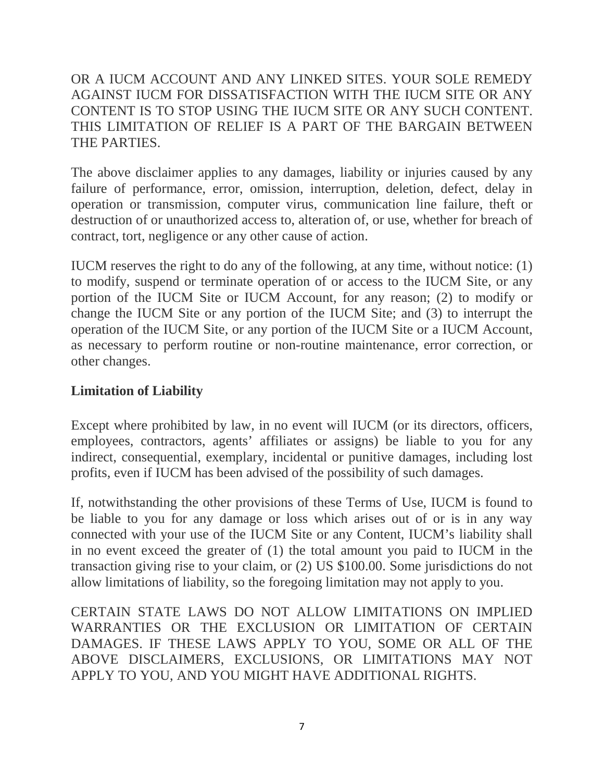### OR A IUCM ACCOUNT AND ANY LINKED SITES. YOUR SOLE REMEDY AGAINST IUCM FOR DISSATISFACTION WITH THE IUCM SITE OR ANY CONTENT IS TO STOP USING THE IUCM SITE OR ANY SUCH CONTENT. THIS LIMITATION OF RELIEF IS A PART OF THE BARGAIN BETWEEN THE PARTIES.

The above disclaimer applies to any damages, liability or injuries caused by any failure of performance, error, omission, interruption, deletion, defect, delay in operation or transmission, computer virus, communication line failure, theft or destruction of or unauthorized access to, alteration of, or use, whether for breach of contract, tort, negligence or any other cause of action.

IUCM reserves the right to do any of the following, at any time, without notice: (1) to modify, suspend or terminate operation of or access to the IUCM Site, or any portion of the IUCM Site or IUCM Account, for any reason; (2) to modify or change the IUCM Site or any portion of the IUCM Site; and (3) to interrupt the operation of the IUCM Site, or any portion of the IUCM Site or a IUCM Account, as necessary to perform routine or non-routine maintenance, error correction, or other changes.

#### **Limitation of Liability**

Except where prohibited by law, in no event will IUCM (or its directors, officers, employees, contractors, agents' affiliates or assigns) be liable to you for any indirect, consequential, exemplary, incidental or punitive damages, including lost profits, even if IUCM has been advised of the possibility of such damages.

If, notwithstanding the other provisions of these Terms of Use, IUCM is found to be liable to you for any damage or loss which arises out of or is in any way connected with your use of the IUCM Site or any Content, IUCM's liability shall in no event exceed the greater of (1) the total amount you paid to IUCM in the transaction giving rise to your claim, or (2) US \$100.00. Some jurisdictions do not allow limitations of liability, so the foregoing limitation may not apply to you.

CERTAIN STATE LAWS DO NOT ALLOW LIMITATIONS ON IMPLIED WARRANTIES OR THE EXCLUSION OR LIMITATION OF CERTAIN DAMAGES. IF THESE LAWS APPLY TO YOU, SOME OR ALL OF THE ABOVE DISCLAIMERS, EXCLUSIONS, OR LIMITATIONS MAY NOT APPLY TO YOU, AND YOU MIGHT HAVE ADDITIONAL RIGHTS.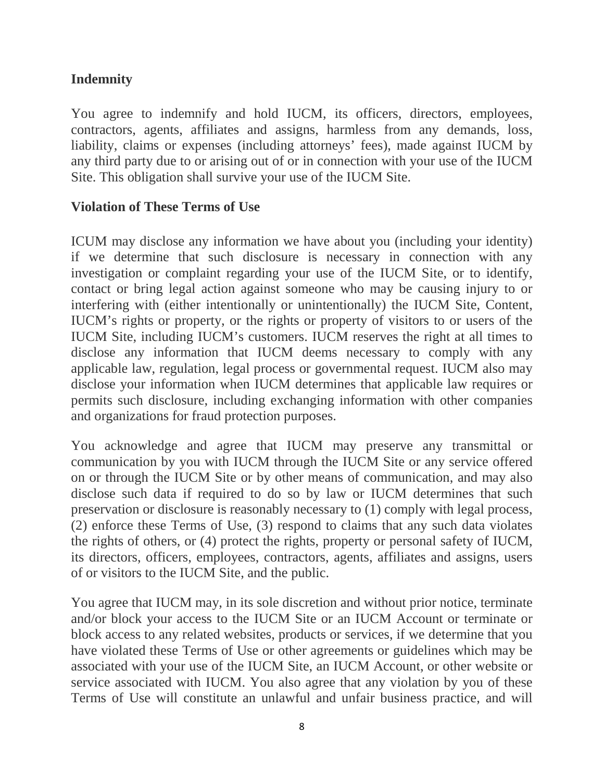# **Indemnity**

You agree to indemnify and hold IUCM, its officers, directors, employees, contractors, agents, affiliates and assigns, harmless from any demands, loss, liability, claims or expenses (including attorneys' fees), made against IUCM by any third party due to or arising out of or in connection with your use of the IUCM Site. This obligation shall survive your use of the IUCM Site.

#### **Violation of These Terms of Use**

ICUM may disclose any information we have about you (including your identity) if we determine that such disclosure is necessary in connection with any investigation or complaint regarding your use of the IUCM Site, or to identify, contact or bring legal action against someone who may be causing injury to or interfering with (either intentionally or unintentionally) the IUCM Site, Content, IUCM's rights or property, or the rights or property of visitors to or users of the IUCM Site, including IUCM's customers. IUCM reserves the right at all times to disclose any information that IUCM deems necessary to comply with any applicable law, regulation, legal process or governmental request. IUCM also may disclose your information when IUCM determines that applicable law requires or permits such disclosure, including exchanging information with other companies and organizations for fraud protection purposes.

You acknowledge and agree that IUCM may preserve any transmittal or communication by you with IUCM through the IUCM Site or any service offered on or through the IUCM Site or by other means of communication, and may also disclose such data if required to do so by law or IUCM determines that such preservation or disclosure is reasonably necessary to (1) comply with legal process, (2) enforce these Terms of Use, (3) respond to claims that any such data violates the rights of others, or (4) protect the rights, property or personal safety of IUCM, its directors, officers, employees, contractors, agents, affiliates and assigns, users of or visitors to the IUCM Site, and the public.

You agree that IUCM may, in its sole discretion and without prior notice, terminate and/or block your access to the IUCM Site or an IUCM Account or terminate or block access to any related websites, products or services, if we determine that you have violated these Terms of Use or other agreements or guidelines which may be associated with your use of the IUCM Site, an IUCM Account, or other website or service associated with IUCM. You also agree that any violation by you of these Terms of Use will constitute an unlawful and unfair business practice, and will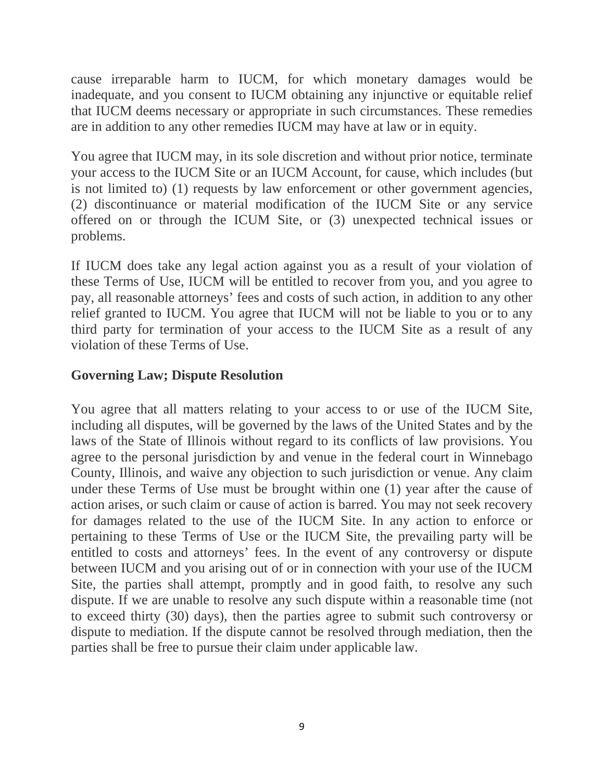cause irreparable harm to IUCM, for which monetary damages would be inadequate, and you consent to IUCM obtaining any injunctive or equitable relief that IUCM deems necessary or appropriate in such circumstances. These remedies are in addition to any other remedies IUCM may have at law or in equity.

You agree that IUCM may, in its sole discretion and without prior notice, terminate your access to the IUCM Site or an IUCM Account, for cause, which includes (but is not limited to) (1) requests by law enforcement or other government agencies, (2) discontinuance or material modification of the IUCM Site or any service offered on or through the ICUM Site, or (3) unexpected technical issues or problems.

If IUCM does take any legal action against you as a result of your violation of these Terms of Use, IUCM will be entitled to recover from you, and you agree to pay, all reasonable attorneys' fees and costs of such action, in addition to any other relief granted to IUCM. You agree that IUCM will not be liable to you or to any third party for termination of your access to the IUCM Site as a result of any violation of these Terms of Use.

# **Governing Law; Dispute Resolution**

You agree that all matters relating to your access to or use of the IUCM Site, including all disputes, will be governed by the laws of the United States and by the laws of the State of Illinois without regard to its conflicts of law provisions. You agree to the personal jurisdiction by and venue in the federal court in Winnebago County, Illinois, and waive any objection to such jurisdiction or venue. Any claim under these Terms of Use must be brought within one (1) year after the cause of action arises, or such claim or cause of action is barred. You may not seek recovery for damages related to the use of the IUCM Site. In any action to enforce or pertaining to these Terms of Use or the IUCM Site, the prevailing party will be entitled to costs and attorneys' fees. In the event of any controversy or dispute between IUCM and you arising out of or in connection with your use of the IUCM Site, the parties shall attempt, promptly and in good faith, to resolve any such dispute. If we are unable to resolve any such dispute within a reasonable time (not to exceed thirty (30) days), then the parties agree to submit such controversy or dispute to mediation. If the dispute cannot be resolved through mediation, then the parties shall be free to pursue their claim under applicable law.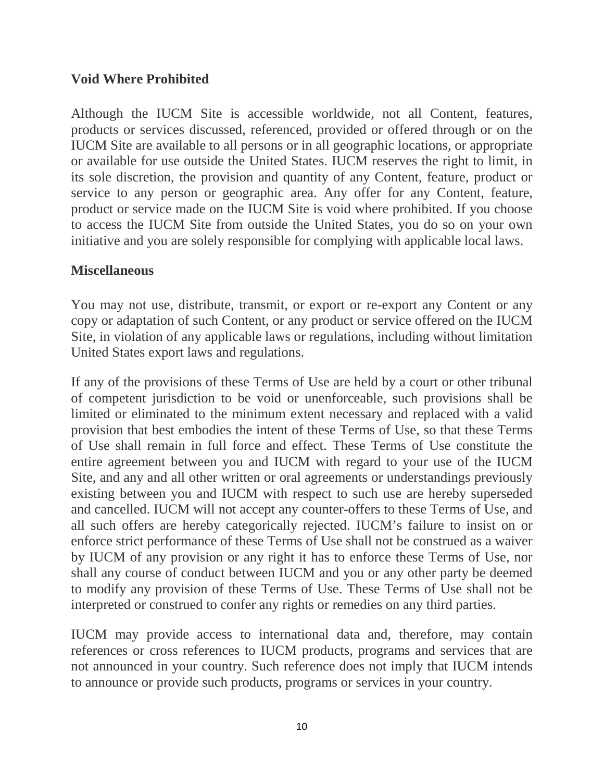#### **Void Where Prohibited**

Although the IUCM Site is accessible worldwide, not all Content, features, products or services discussed, referenced, provided or offered through or on the IUCM Site are available to all persons or in all geographic locations, or appropriate or available for use outside the United States. IUCM reserves the right to limit, in its sole discretion, the provision and quantity of any Content, feature, product or service to any person or geographic area. Any offer for any Content, feature, product or service made on the IUCM Site is void where prohibited. If you choose to access the IUCM Site from outside the United States, you do so on your own initiative and you are solely responsible for complying with applicable local laws.

#### **Miscellaneous**

You may not use, distribute, transmit, or export or re-export any Content or any copy or adaptation of such Content, or any product or service offered on the IUCM Site, in violation of any applicable laws or regulations, including without limitation United States export laws and regulations.

If any of the provisions of these Terms of Use are held by a court or other tribunal of competent jurisdiction to be void or unenforceable, such provisions shall be limited or eliminated to the minimum extent necessary and replaced with a valid provision that best embodies the intent of these Terms of Use, so that these Terms of Use shall remain in full force and effect. These Terms of Use constitute the entire agreement between you and IUCM with regard to your use of the IUCM Site, and any and all other written or oral agreements or understandings previously existing between you and IUCM with respect to such use are hereby superseded and cancelled. IUCM will not accept any counter-offers to these Terms of Use, and all such offers are hereby categorically rejected. IUCM's failure to insist on or enforce strict performance of these Terms of Use shall not be construed as a waiver by IUCM of any provision or any right it has to enforce these Terms of Use, nor shall any course of conduct between IUCM and you or any other party be deemed to modify any provision of these Terms of Use. These Terms of Use shall not be interpreted or construed to confer any rights or remedies on any third parties.

IUCM may provide access to international data and, therefore, may contain references or cross references to IUCM products, programs and services that are not announced in your country. Such reference does not imply that IUCM intends to announce or provide such products, programs or services in your country.